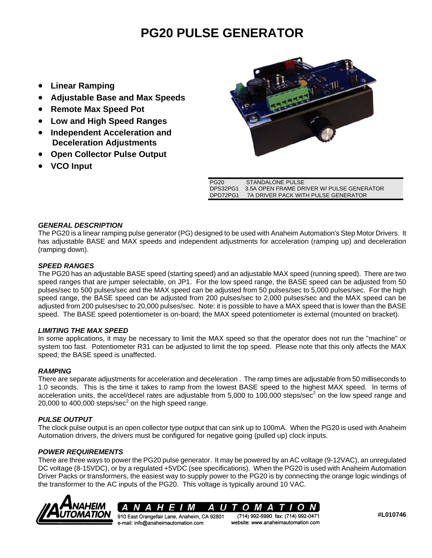# **PG20 PULSE GENERATOR**

- **Linear Ramping**
- **Adjustable Base and Max Speeds**
- **Remote Max Speed Pot**
- **Low and High Speed Ranges**
- **Independent Acceleration and Deceleration Adjustments**
- **Open Collector Pulse Output**
- **VCO Input**



| PG20     | STANDALONE PULSE                          |
|----------|-------------------------------------------|
| DPS32PG1 | 3.5A OPEN FRAME DRIVER W/ PULSE GENERATOR |
| DPD72PG1 | 7A DRIVER PACK WITH PULSE GENERATOR       |

## *GENERAL DESCRIPTION*

The PG20 is a linear ramping pulse generator (PG) designed to be used with Anaheim Automation's Step Motor Drivers. It has adjustable BASE and MAX speeds and independent adjustments for acceleration (ramping up) and deceleration (ramping down).

## *SPEED RANGES*

The PG20 has an adjustable BASE speed (starting speed) and an adjustable MAX speed (running speed). There are two speed ranges that are jumper selectable, on JP1. For the low speed range, the BASE speed can be adjusted from 50 pulses/sec to 500 pulses/sec and the MAX speed can be adjusted from 50 pulses/sec to 5,000 pulses/sec. For the high speed range, the BASE speed can be adjusted from 200 pulses/sec to 2,000 pulses/sec and the MAX speed can be adjusted from 200 pulses/sec to 20,000 pulses/sec. Note: it is possible to have a MAX speed that is lower than the BASE speed. The BASE speed potentiometer is on-board; the MAX speed potentiometer is external (mounted on bracket).

#### *LIMITING THE MAX SPEED*

In some applications, it may be necessary to limit the MAX speed so that the operator does not run the "machine" or system too fast. Potentiometer R31 can be adjusted to limit the top speed. Please note that this only affects the MAX speed; the BASE speed is unaffected.

#### *RAMPING*

There are separate adjustments for acceleration and deceleration . The ramp times are adjustable from 50 milliseconds to 1.0 seconds. This is the time it takes to ramp from the lowest BASE speed to the highest MAX speed. In terms of acceleration units, the accel/decel rates are adjustable from 5,000 to 100,000 steps/sec<sup>2</sup> on the low speed range and 20,000 to 400,000 steps/sec $2$  on the high speed range.

# *PULSE OUTPUT*

The clock pulse output is an open collector type output that can sink up to 100mA. When the PG20 is used with Anaheim Automation drivers, the drivers must be configured for negative going (pulled up) clock inputs.

# *POWER REQUIREMENTS*

There are three ways to power the PG20 pulse generator. It may be powered by an AC voltage (9-12VAC), an unregulated DC voltage (8-15VDC), or by a regulated +5VDC (see specifications). When the PG20 is used with Anaheim Automation Driver Packs or transformers, the easiest way to supply power to the PG20 is by connecting the orange logic windings of the transformer to the AC inputs of the PG20. This voltage is typically around 10 VAC.





**#L010746**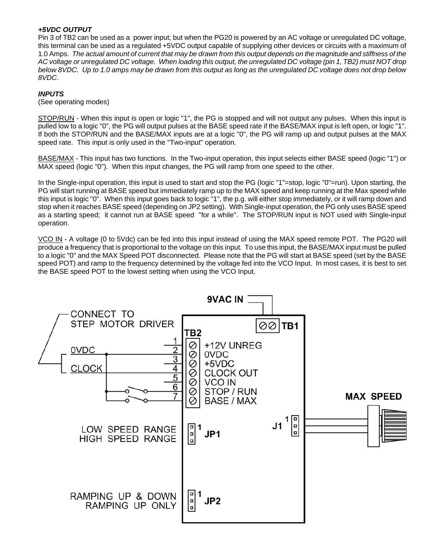#### *+5VDC OUTPUT*

Pin 3 of TB2 can be used as a power input; but when the PG20 is powered by an AC voltage or unregulated DC voltage, this terminal can be used as a regulated +5VDC output capable of supplying other devices or circuits with a maximum of 1.0 Amps. *The actual amount of current that may be drawn from this output depends on the magnitude and stiffness of the AC voltage or unregulated DC voltage. When loading this output, the unregulated DC voltage (pin 1, TB2) must NOT drop below 8VDC. Up to 1.0 amps may be drawn from this output as long as the unregulated DC voltage does not drop below 8VDC.*

#### *INPUTS*

#### (See operating modes)

STOP/RUN - When this input is open or logic "1", the PG is stopped and will not output any pulses. When this input is pulled low to a logic "0", the PG will output pulses at the BASE speed rate if the BASE/MAX input is left open, or logic "1". If both the STOP/RUN and the BASE/MAX inputs are at a logic "0", the PG will ramp up and output pulses at the MAX speed rate. This input is only used in the "Two-input" operation.

BASE/MAX - This input has two functions. In the Two-input operation, this input selects either BASE speed (logic "1") or MAX speed (logic "0"). When this input changes, the PG will ramp from one speed to the other.

In the Single-input operation, this input is used to start and stop the PG (logic "1"=stop, logic "0"=run). Upon starting, the PG will start running at BASE speed but immediately ramp up to the MAX speed and keep running at the Max speed while this input is logic "0". When this input goes back to logic "1", the p.g. will either stop immediately, or it will ramp down and stop when it reaches BASE speed (depending on JP2 setting). With Single-input operation, the PG only uses BASE speed as a starting speed; it cannot run at BASE speed "for a while". The STOP/RUN input is NOT used with Single-input operation.

VCO IN - A voltage (0 to 5Vdc) can be fed into this input instead of using the MAX speed remote POT. The PG20 will produce a frequency that is proportional to the voltage on this input. To use this input, the BASE/MAX input must be pulled to a logic "0" and the MAX Speed POT disconnected. Please note that the PG will start at BASE speed (set by the BASE speed POT) and ramp to the frequency determined by the voltage fed into the VCO Input. In most cases, it is best to set the BASE speed POT to the lowest setting when using the VCO Input.

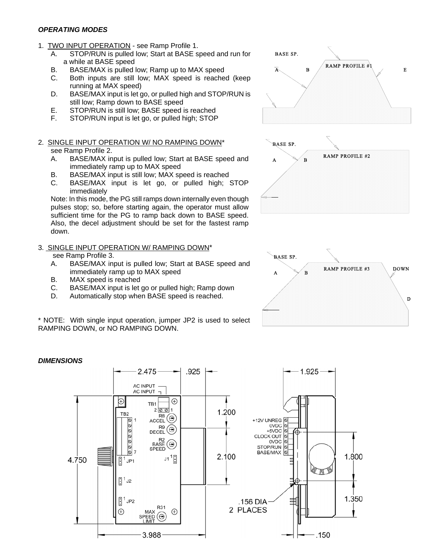#### *OPERATING MODES*

- 1. TWO INPUT OPERATION see Ramp Profile 1.
	- A. STOP/RUN is pulled low; Start at BASE speed and run for a while at BASE speed
	- B. BASE/MAX is pulled low; Ramp up to MAX speed
	- C. Both inputs are still low; MAX speed is reached (keep running at MAX speed)
	- D. BASE/MAX input is let go, or pulled high and STOP/RUN is still low; Ramp down to BASE speed
	- E. STOP/RUN is still low; BASE speed is reached
	- F. STOP/RUN input is let go, or pulled high; STOP

#### 2. SINGLE INPUT OPERATION W/ NO RAMPING DOWN\* see Ramp Profile 2.

- A. BASE/MAX input is pulled low; Start at BASE speed and immediately ramp up to MAX speed
- B. BASE/MAX input is still low; MAX speed is reached
- C. BASE/MAX input is let go, or pulled high; STOP immediately

Note: In this mode, the PG still ramps down internally even though pulses stop; so, before starting again, the operator must allow sufficient time for the PG to ramp back down to BASE speed. Also, the decel adjustment should be set for the fastest ramp down.

3. SINGLE INPUT OPERATION W/ RAMPING DOWN\*

# see Ramp Profile 3.

- A. BASE/MAX input is pulled low; Start at BASE speed and immediately ramp up to MAX speed
- B. MAX speed is reached
- C. BASE/MAX input is let go or pulled high; Ramp down
- D. Automatically stop when BASE speed is reached.

\* NOTE: With single input operation, jumper JP2 is used to select RAMPING DOWN, or NO RAMPING DOWN.









#### *DIMENSIONS*